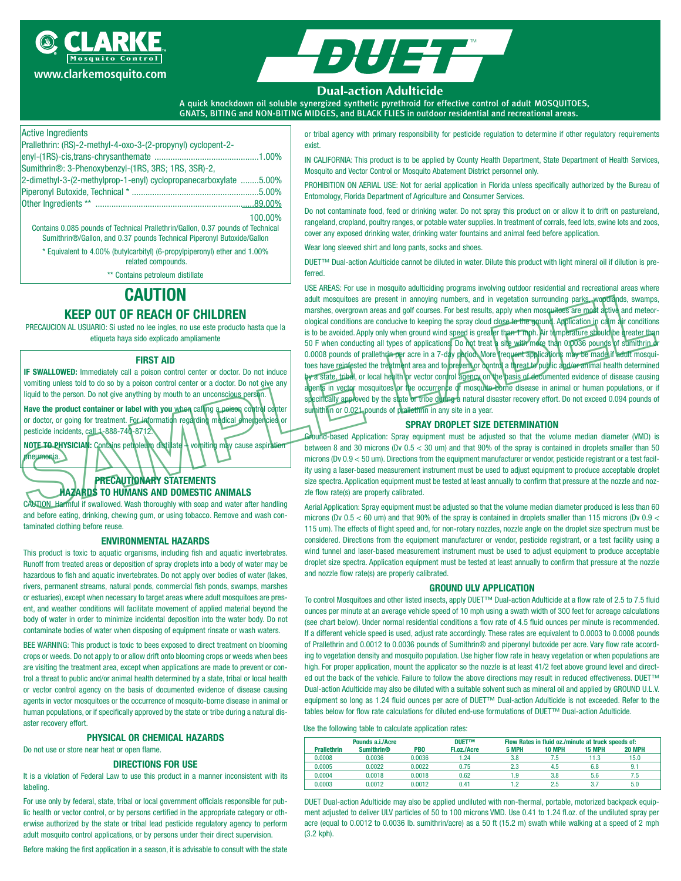





#### **Dual-action Adulticide**

A quick knockdown oil soluble synergized synthetic pyrethroid for effective control of adult MOSQUITOES, GNATS, BITING and NON-BITING MIDGES, and BLACK FLIES in outdoor residential and recreational areas.

## Active Ingredients

| Prallethrin: (RS)-2-methyl-4-oxo-3-(2-propynyl) cyclopent-2-                    |         |
|---------------------------------------------------------------------------------|---------|
|                                                                                 |         |
| Sumithrin®: 3-Phenoxybenzyl-(1RS, 3RS; 1RS, 3SR)-2,                             |         |
| 2-dimethyl-3-(2-methylprop-1-enyl) cyclopropanecarboxylate 5.00%                |         |
|                                                                                 |         |
|                                                                                 |         |
|                                                                                 | 100.00% |
| Contains 0.085 pounds of Technical Prallethrin/Gallon, 0.37 pounds of Technical |         |

Sumithrin®/Gallon, and 0.37 pounds Technical Piperonyl Butoxide/Gallon \* Equivalent to 4.00% (butylcarbityl) (6-propylpiperonyl) ether and 1.00%

related compounds.

\*\* Contains petroleum distillate

# **CAUTION**

# **KEEP OUT OF REACH OF CHILDREN**

PRECAUCION AL USUARIO: Si usted no lee ingles, no use este producto hasta que la etiqueta haya sido explicado ampliamente

#### **FIRST AID**

**IF SWALLOWED:** Immediately call a poison control center or doctor. Do not induce vomiting unless told to do so by a poison control center or a doctor. Do not give any liquid to the person. Do not give anything by mouth to an unconscious person.

**Have the product container or label with you** when calling a poison control center or doctor, or going for treatment. For information regarding medical emergencies or pesticide incidents, call 1-888-740-8712.

**NOTE TO PHYSICIAN:** Contains petroleum distillate – vomiting may cause aspiration neumonia.

# **PRECAUTIONARY STATEMENTS HAZARDS TO HUMANS AND DOMESTIC ANIMALS**

CAUTION. Harmful if swallowed. Wash thoroughly with soap and water after handling and before eating, drinking, chewing gum, or using tobacco. Remove and wash contaminated clothing before reuse.

#### **ENVIRONMENTAL HAZARDS**

This product is toxic to aquatic organisms, including fish and aquatic invertebrates. Runoff from treated areas or deposition of spray droplets into a body of water may be hazardous to fish and aquatic invertebrates. Do not apply over bodies of water (lakes, rivers, permanent streams, natural ponds, commercial fish ponds, swamps, marshes or estuaries), except when necessary to target areas where adult mosquitoes are present, and weather conditions will facilitate movement of applied material beyond the body of water in order to minimize incidental deposition into the water body. Do not contaminate bodies of water when disposing of equipment rinsate or wash waters.

BEE WARNING: This product is toxic to bees exposed to direct treatment on blooming crops or weeds. Do not apply to or allow drift onto blooming crops or weeds when bees are visiting the treatment area, except when applications are made to prevent or control a threat to public and/or animal health determined by a state, tribal or local health or vector control agency on the basis of documented evidence of disease causing agents in vector mosquitoes or the occurrence of mosquito-borne disease in animal or human populations, or if specifically approved by the state or tribe during a natural disaster recovery effort.

# **PHYSICAL OR CHEMICAL HAZARDS**

# Do not use or store near heat or open flame.

# **DIRECTIONS FOR USE**

It is a violation of Federal Law to use this product in a manner inconsistent with its labeling.

For use only by federal, state, tribal or local government officials responsible for public health or vector control, or by persons certified in the appropriate category or otherwise authorized by the state or tribal lead pesticide regulatory agency to perform adult mosquito control applications, or by persons under their direct supervision.

Before making the first application in a season, it is advisable to consult with the state

or tribal agency with primary responsibility for pesticide regulation to determine if other regulatory requirements exist.

IN CALIFORNIA: This product is to be applied by County Health Department, State Department of Health Services, Mosquito and Vector Control or Mosquito Abatement District personnel only.

PROHIBITION ON AERIAL USE: Not for aerial application in Florida unless specifically authorized by the Bureau of Entomology, Florida Department of Agriculture and Consumer Services.

Do not contaminate food, feed or drinking water. Do not spray this product on or allow it to drift on pastureland, rangeland, cropland, poultry ranges, or potable water supplies. In treatment of corrals, feed lots, swine lots and zoos, cover any exposed drinking water, drinking water fountains and animal feed before application.

Wear long sleeved shirt and long pants, socks and shoes.

DUET™ Dual-action Adulticide cannot be diluted in water. Dilute this product with light mineral oil if dilution is preferred.

**SAMPLE CONFIDENT CONTROL CONFIDENT CONTROL** CONFIDENT CONTROL CONTROL CONTROL CONTROL CONTROL CONTROL CONTROL CONTROL CONTROL CONTROL CONTROL CONTROL CONTROL CONTROL CONTROL CONTROL CONTROL CONTROL CONTROL CONTROL CONTROL USE AREAS: For use in mosquito adulticiding programs involving outdoor residential and recreational areas where adult mosquitoes are present in annoying numbers, and in vegetation surrounding parks, woodlands, swamps, marshes, overgrown areas and golf courses. For best results, apply when mosquitoes are most active and meteorological conditions are conducive to keeping the spray cloud close to the ground. Application in calm air conditions is to be avoided. Apply only when ground wind speed is greater than 1 mph. Air temperature should be greater than 50 F when conducting all types of applications. Do not treat a site with more than 0.0036 pounds of sumithrin or 0.0008 pounds of prallethrin per acre in a 7-day period. More trequent applications may be made if adult mosquitoes have reinfested the treatment area and to prevent or control a threat to public and/or animal health determined by a state, tribal, or local health or vector control agency on the basis of documented evidence of disease causing agents in vector mosquitoes or the occurrence of mosquito-borne disease in animal or human populations, or if specifically approved by the state or tribe during a natural disaster recovery effort. Do not exceed 0.094 pounds of sumithrin or 0.021 pounds of prallethrin in any site in a year.

#### **SPRAY DROPLET SIZE DETERMINATION**

Ground-based Application: Spray equipment must be adjusted so that the volume median diameter (VMD) is between 8 and 30 microns (Dv 0.5 < 30 um) and that 90% of the spray is contained in droplets smaller than 50 microns (Dv 0.9 < 50 um). Directions from the equipment manufacturer or vendor, pesticide registrant or a test facility using a laser-based measurement instrument must be used to adjust equipment to produce acceptable droplet size spectra. Application equipment must be tested at least annually to confirm that pressure at the nozzle and nozzle flow rate(s) are properly calibrated.

Aerial Application: Spray equipment must be adjusted so that the volume median diameter produced is less than 60 microns (Dv 0.5  $<$  60 um) and that 90% of the spray is contained in droplets smaller than 115 microns (Dv 0.9  $<$ 115 um). The effects of flight speed and, for non-rotary nozzles, nozzle angle on the droplet size spectrum must be considered. Directions from the equipment manufacturer or vendor, pesticide registrant, or a test facility using a wind tunnel and laser-based measurement instrument must be used to adjust equipment to produce acceptable droplet size spectra. Application equipment must be tested at least annually to confirm that pressure at the nozzle and nozzle flow rate(s) are properly calibrated.

#### **GROUND ULV APPLICATION**

To control Mosquitoes and other listed insects, apply DUET™ Dual-action Adulticide at a flow rate of 2.5 to 7.5 fluid ounces per minute at an average vehicle speed of 10 mph using a swath width of 300 feet for acreage calculations (see chart below). Under normal residential conditions a flow rate of 4.5 fluid ounces per minute is recommended. If a different vehicle speed is used, adjust rate accordingly. These rates are equivalent to 0.0003 to 0.0008 pounds of Prallethrin and 0.0012 to 0.0036 pounds of Sumithrin® and piperonyl butoxide per acre. Vary flow rate according to vegetation density and mosquito population. Use higher flow rate in heavy vegetation or when populations are high. For proper application, mount the applicator so the nozzle is at least 41/2 feet above ground level and directed out the back of the vehicle. Failure to follow the above directions may result in reduced effectiveness. DUET™ Dual-action Adulticide may also be diluted with a suitable solvent such as mineral oil and applied by GROUND U.L.V. equipment so long as 1.24 fluid ounces per acre of DUET™ Dual-action Adulticide is not exceeded. Refer to the tables below for flow rate calculations for diluted end-use formulations of DUET™ Dual-action Adulticide.

Use the following table to calculate application rates:

|                    | Pounds a.i./Acre             |                 | <b>DUETTM</b> | Flow Rates in fluid oz./minute at truck speeds of: |               |               |        |  |  |
|--------------------|------------------------------|-----------------|---------------|----------------------------------------------------|---------------|---------------|--------|--|--|
| <b>Prallethrin</b> | <b>Sumithrin<sup>®</sup></b> | PB <sub>0</sub> | Fl.oz./Acre   | 5 MPH                                              | <b>10 MPH</b> | <b>15 MPH</b> | 20 MPH |  |  |
| 0.0008             | 0.0036                       | 0.0036          | 1.24          | 3.8                                                | 7.5           | 11.3          | 15.0   |  |  |
| 0.0005             | 0.0022                       | 0.0022          | 0.75          | 2.3                                                | 4.5           | 6.8           | 9.1    |  |  |
| 0.0004             | 0.0018                       | 0.0018          | 0.62          | 1.9                                                | 3.8           | 5.6           | 7.5    |  |  |
| 0.0003             | 0.0012                       | 0.0012          | 0.41          |                                                    | 2.5           |               | 5.0    |  |  |

DUET Dual-action Adulticide may also be applied undiluted with non-thermal, portable, motorized backpack equipment adjusted to deliver ULV particles of 50 to 100 microns VMD. Use 0.41 to 1.24 fl.oz. of the undiluted spray per acre (equal to 0.0012 to 0.0036 lb. sumithrin/acre) as a 50 ft (15.2 m) swath while walking at a speed of 2 mph (3.2 kph).